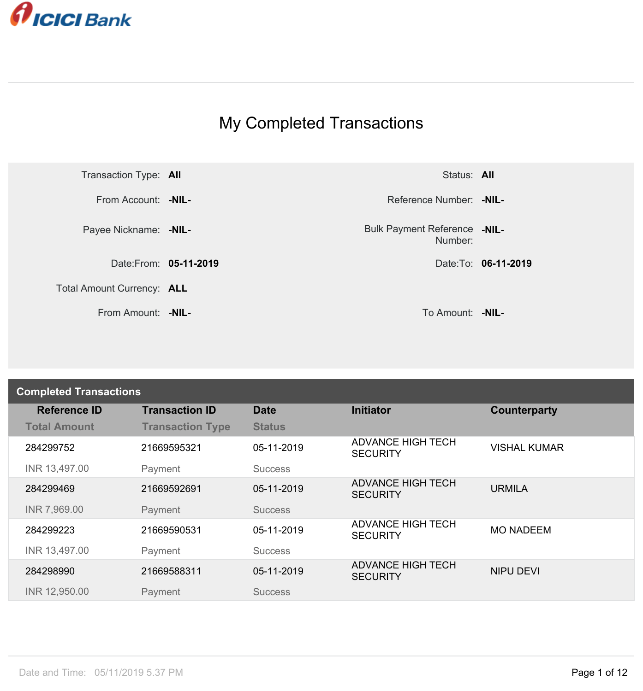

## My Completed Transactions



Number: **-NIL-**

| <b>Completed Transactions</b> |                         |                |                                             |                     |  |
|-------------------------------|-------------------------|----------------|---------------------------------------------|---------------------|--|
| <b>Reference ID</b>           | <b>Transaction ID</b>   | <b>Date</b>    | <b>Initiator</b>                            | Counterparty        |  |
| <b>Total Amount</b>           | <b>Transaction Type</b> | <b>Status</b>  |                                             |                     |  |
| 284299752                     | 21669595321             | 05-11-2019     | <b>ADVANCE HIGH TECH</b><br><b>SECURITY</b> | <b>VISHAL KUMAR</b> |  |
| INR 13,497.00                 | Payment                 | <b>Success</b> |                                             |                     |  |
| 284299469                     | 21669592691             | 05-11-2019     | <b>ADVANCE HIGH TECH</b><br><b>SECURITY</b> | <b>URMILA</b>       |  |
| INR 7,969.00                  | Payment                 | <b>Success</b> |                                             |                     |  |
| 284299223                     | 21669590531             | 05-11-2019     | <b>ADVANCE HIGH TECH</b><br><b>SECURITY</b> | <b>MO NADEEM</b>    |  |
| INR 13,497.00                 | Payment                 | <b>Success</b> |                                             |                     |  |
| 284298990                     | 21669588311             | 05-11-2019     | <b>ADVANCE HIGH TECH</b><br><b>SECURITY</b> | <b>NIPU DEVI</b>    |  |
| INR 12,950.00                 | Payment                 | <b>Success</b> |                                             |                     |  |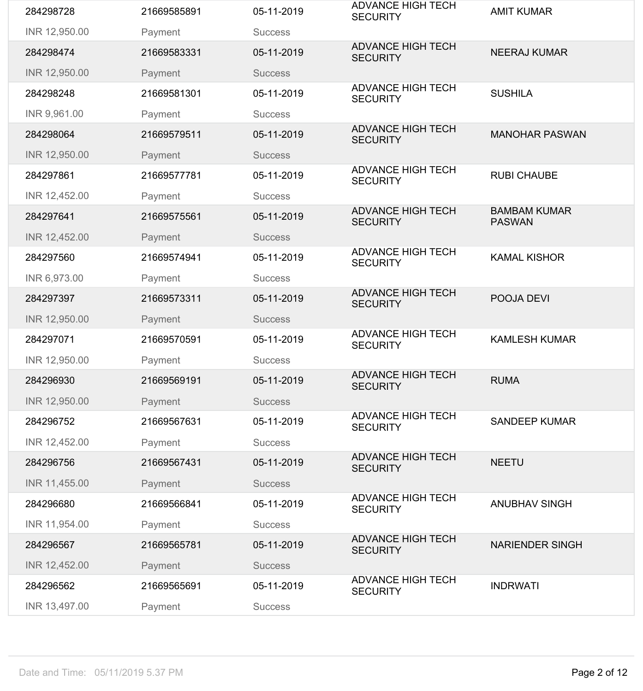| 284298728     | 21669585891 | 05-11-2019     | <b>ADVANCE HIGH TECH</b><br><b>SECURITY</b> | <b>AMIT KUMAR</b>                    |
|---------------|-------------|----------------|---------------------------------------------|--------------------------------------|
| INR 12,950.00 | Payment     | <b>Success</b> |                                             |                                      |
| 284298474     | 21669583331 | 05-11-2019     | <b>ADVANCE HIGH TECH</b><br><b>SECURITY</b> | <b>NEERAJ KUMAR</b>                  |
| INR 12,950.00 | Payment     | <b>Success</b> |                                             |                                      |
| 284298248     | 21669581301 | 05-11-2019     | <b>ADVANCE HIGH TECH</b><br><b>SECURITY</b> | <b>SUSHILA</b>                       |
| INR 9,961.00  | Payment     | <b>Success</b> |                                             |                                      |
| 284298064     | 21669579511 | 05-11-2019     | <b>ADVANCE HIGH TECH</b><br><b>SECURITY</b> | <b>MANOHAR PASWAN</b>                |
| INR 12,950.00 | Payment     | <b>Success</b> |                                             |                                      |
| 284297861     | 21669577781 | 05-11-2019     | <b>ADVANCE HIGH TECH</b><br><b>SECURITY</b> | <b>RUBI CHAUBE</b>                   |
| INR 12,452.00 | Payment     | <b>Success</b> |                                             |                                      |
| 284297641     | 21669575561 | 05-11-2019     | <b>ADVANCE HIGH TECH</b><br><b>SECURITY</b> | <b>BAMBAM KUMAR</b><br><b>PASWAN</b> |
| INR 12,452.00 | Payment     | <b>Success</b> |                                             |                                      |
| 284297560     | 21669574941 | 05-11-2019     | <b>ADVANCE HIGH TECH</b><br><b>SECURITY</b> | <b>KAMAL KISHOR</b>                  |
| INR 6,973.00  | Payment     | <b>Success</b> |                                             |                                      |
| 284297397     | 21669573311 | 05-11-2019     | <b>ADVANCE HIGH TECH</b><br><b>SECURITY</b> | POOJA DEVI                           |
| INR 12,950.00 | Payment     | <b>Success</b> |                                             |                                      |
| 284297071     | 21669570591 | 05-11-2019     | <b>ADVANCE HIGH TECH</b><br><b>SECURITY</b> | <b>KAMLESH KUMAR</b>                 |
| INR 12,950.00 | Payment     | <b>Success</b> |                                             |                                      |
| 284296930     | 21669569191 | 05-11-2019     | <b>ADVANCE HIGH TECH</b><br><b>SECURITY</b> | <b>RUMA</b>                          |
| INR 12,950.00 | Payment     | <b>Success</b> |                                             |                                      |
| 284296752     | 21669567631 | 05-11-2019     | <b>ADVANCE HIGH TECH</b><br><b>SECURITY</b> | <b>SANDEEP KUMAR</b>                 |
| INR 12,452.00 | Payment     | <b>Success</b> |                                             |                                      |
| 284296756     | 21669567431 | 05-11-2019     | <b>ADVANCE HIGH TECH</b><br><b>SECURITY</b> | <b>NEETU</b>                         |
| INR 11,455.00 | Payment     | <b>Success</b> |                                             |                                      |
| 284296680     | 21669566841 | 05-11-2019     | <b>ADVANCE HIGH TECH</b><br><b>SECURITY</b> | <b>ANUBHAV SINGH</b>                 |
| INR 11,954.00 | Payment     | <b>Success</b> |                                             |                                      |
| 284296567     | 21669565781 | 05-11-2019     | <b>ADVANCE HIGH TECH</b><br><b>SECURITY</b> | <b>NARIENDER SINGH</b>               |
| INR 12,452.00 | Payment     | <b>Success</b> |                                             |                                      |
| 284296562     | 21669565691 | 05-11-2019     | <b>ADVANCE HIGH TECH</b><br><b>SECURITY</b> | <b>INDRWATI</b>                      |
|               |             |                |                                             |                                      |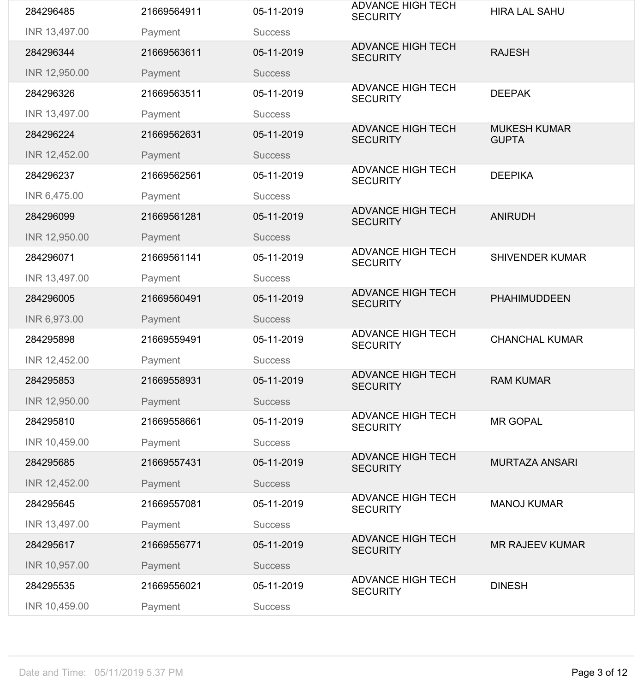| 284296485     | 21669564911 | 05-11-2019     | <b>ADVANCE HIGH TECH</b><br><b>SECURITY</b> | <b>HIRA LAL SAHU</b>                |
|---------------|-------------|----------------|---------------------------------------------|-------------------------------------|
| INR 13,497.00 | Payment     | <b>Success</b> |                                             |                                     |
| 284296344     | 21669563611 | 05-11-2019     | <b>ADVANCE HIGH TECH</b><br><b>SECURITY</b> | <b>RAJESH</b>                       |
| INR 12,950.00 | Payment     | <b>Success</b> |                                             |                                     |
| 284296326     | 21669563511 | 05-11-2019     | <b>ADVANCE HIGH TECH</b><br><b>SECURITY</b> | <b>DEEPAK</b>                       |
| INR 13,497.00 | Payment     | <b>Success</b> |                                             |                                     |
| 284296224     | 21669562631 | 05-11-2019     | <b>ADVANCE HIGH TECH</b><br><b>SECURITY</b> | <b>MUKESH KUMAR</b><br><b>GUPTA</b> |
| INR 12,452.00 | Payment     | <b>Success</b> |                                             |                                     |
| 284296237     | 21669562561 | 05-11-2019     | <b>ADVANCE HIGH TECH</b><br><b>SECURITY</b> | <b>DEEPIKA</b>                      |
| INR 6,475.00  | Payment     | <b>Success</b> |                                             |                                     |
| 284296099     | 21669561281 | 05-11-2019     | <b>ADVANCE HIGH TECH</b><br><b>SECURITY</b> | <b>ANIRUDH</b>                      |
| INR 12,950.00 | Payment     | <b>Success</b> |                                             |                                     |
| 284296071     | 21669561141 | 05-11-2019     | <b>ADVANCE HIGH TECH</b><br><b>SECURITY</b> | <b>SHIVENDER KUMAR</b>              |
| INR 13,497.00 | Payment     | <b>Success</b> |                                             |                                     |
| 284296005     | 21669560491 | 05-11-2019     | <b>ADVANCE HIGH TECH</b><br><b>SECURITY</b> | <b>PHAHIMUDDEEN</b>                 |
| INR 6,973.00  | Payment     | <b>Success</b> |                                             |                                     |
| 284295898     | 21669559491 | 05-11-2019     | <b>ADVANCE HIGH TECH</b><br><b>SECURITY</b> | <b>CHANCHAL KUMAR</b>               |
| INR 12,452.00 | Payment     | <b>Success</b> |                                             |                                     |
| 284295853     | 21669558931 | 05-11-2019     | <b>ADVANCE HIGH TECH</b><br><b>SECURITY</b> | <b>RAM KUMAR</b>                    |
| INR 12,950.00 | Payment     | <b>Success</b> |                                             |                                     |
| 284295810     | 21669558661 | 05-11-2019     | <b>ADVANCE HIGH TECH</b><br><b>SECURITY</b> | <b>MR GOPAL</b>                     |
| INR 10,459.00 | Payment     | <b>Success</b> |                                             |                                     |
| 284295685     | 21669557431 | 05-11-2019     | <b>ADVANCE HIGH TECH</b><br><b>SECURITY</b> | <b>MURTAZA ANSARI</b>               |
| INR 12,452.00 | Payment     | <b>Success</b> |                                             |                                     |
| 284295645     | 21669557081 | 05-11-2019     | <b>ADVANCE HIGH TECH</b><br><b>SECURITY</b> | <b>MANOJ KUMAR</b>                  |
| INR 13,497.00 | Payment     | <b>Success</b> |                                             |                                     |
| 284295617     | 21669556771 | 05-11-2019     | <b>ADVANCE HIGH TECH</b><br><b>SECURITY</b> | <b>MR RAJEEV KUMAR</b>              |
| INR 10,957.00 | Payment     | <b>Success</b> |                                             |                                     |
| 284295535     | 21669556021 | 05-11-2019     | <b>ADVANCE HIGH TECH</b><br><b>SECURITY</b> | <b>DINESH</b>                       |
| INR 10,459.00 | Payment     | <b>Success</b> |                                             |                                     |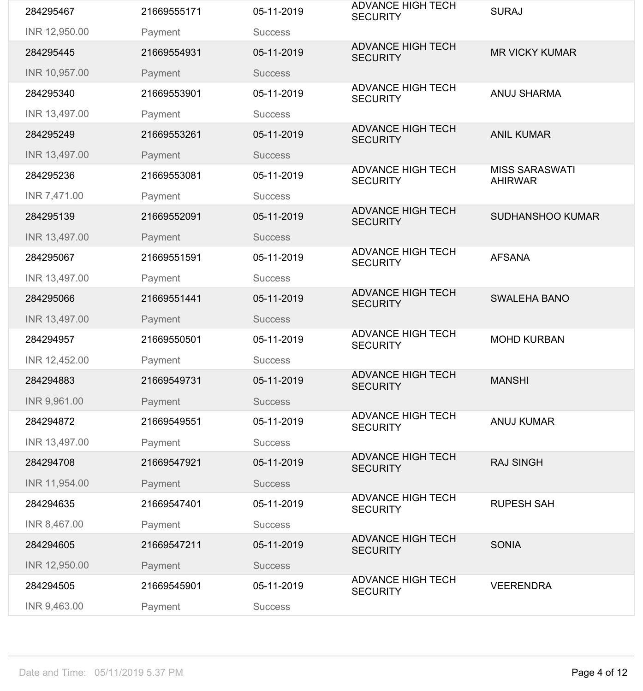| 284295467     | 21669555171 | 05-11-2019     | <b>ADVANCE HIGH TECH</b><br><b>SECURITY</b> | <b>SURAJ</b>                            |
|---------------|-------------|----------------|---------------------------------------------|-----------------------------------------|
| INR 12,950.00 | Payment     | <b>Success</b> |                                             |                                         |
| 284295445     | 21669554931 | 05-11-2019     | <b>ADVANCE HIGH TECH</b><br><b>SECURITY</b> | <b>MR VICKY KUMAR</b>                   |
| INR 10,957.00 | Payment     | <b>Success</b> |                                             |                                         |
| 284295340     | 21669553901 | 05-11-2019     | <b>ADVANCE HIGH TECH</b><br><b>SECURITY</b> | <b>ANUJ SHARMA</b>                      |
| INR 13,497.00 | Payment     | <b>Success</b> |                                             |                                         |
| 284295249     | 21669553261 | 05-11-2019     | <b>ADVANCE HIGH TECH</b><br><b>SECURITY</b> | <b>ANIL KUMAR</b>                       |
| INR 13,497.00 | Payment     | <b>Success</b> |                                             |                                         |
| 284295236     | 21669553081 | 05-11-2019     | <b>ADVANCE HIGH TECH</b><br><b>SECURITY</b> | <b>MISS SARASWATI</b><br><b>AHIRWAR</b> |
| INR 7,471.00  | Payment     | <b>Success</b> |                                             |                                         |
| 284295139     | 21669552091 | 05-11-2019     | <b>ADVANCE HIGH TECH</b><br><b>SECURITY</b> | <b>SUDHANSHOO KUMAR</b>                 |
| INR 13,497.00 | Payment     | <b>Success</b> |                                             |                                         |
| 284295067     | 21669551591 | 05-11-2019     | <b>ADVANCE HIGH TECH</b><br><b>SECURITY</b> | <b>AFSANA</b>                           |
| INR 13,497.00 | Payment     | <b>Success</b> |                                             |                                         |
| 284295066     | 21669551441 | 05-11-2019     | <b>ADVANCE HIGH TECH</b><br><b>SECURITY</b> | <b>SWALEHA BANO</b>                     |
| INR 13,497.00 | Payment     | <b>Success</b> |                                             |                                         |
| 284294957     | 21669550501 | 05-11-2019     | <b>ADVANCE HIGH TECH</b><br><b>SECURITY</b> | <b>MOHD KURBAN</b>                      |
| INR 12,452.00 | Payment     | <b>Success</b> |                                             |                                         |
| 284294883     | 21669549731 | 05-11-2019     | <b>ADVANCE HIGH TECH</b><br><b>SECURITY</b> | <b>MANSHI</b>                           |
| INR 9,961.00  | Payment     | <b>Success</b> |                                             |                                         |
| 284294872     | 21669549551 | 05-11-2019     | <b>ADVANCE HIGH TECH</b><br><b>SECURITY</b> | <b>ANUJ KUMAR</b>                       |
| INR 13,497.00 | Payment     | <b>Success</b> |                                             |                                         |
| 284294708     | 21669547921 | 05-11-2019     | <b>ADVANCE HIGH TECH</b><br><b>SECURITY</b> | <b>RAJ SINGH</b>                        |
| INR 11,954.00 | Payment     | <b>Success</b> |                                             |                                         |
| 284294635     | 21669547401 | 05-11-2019     | <b>ADVANCE HIGH TECH</b><br><b>SECURITY</b> | <b>RUPESH SAH</b>                       |
| INR 8,467.00  | Payment     | <b>Success</b> |                                             |                                         |
| 284294605     | 21669547211 | 05-11-2019     | <b>ADVANCE HIGH TECH</b><br><b>SECURITY</b> | <b>SONIA</b>                            |
| INR 12,950.00 | Payment     | <b>Success</b> |                                             |                                         |
| 284294505     | 21669545901 | 05-11-2019     | <b>ADVANCE HIGH TECH</b><br><b>SECURITY</b> | <b>VEERENDRA</b>                        |
| INR 9,463.00  | Payment     | <b>Success</b> |                                             |                                         |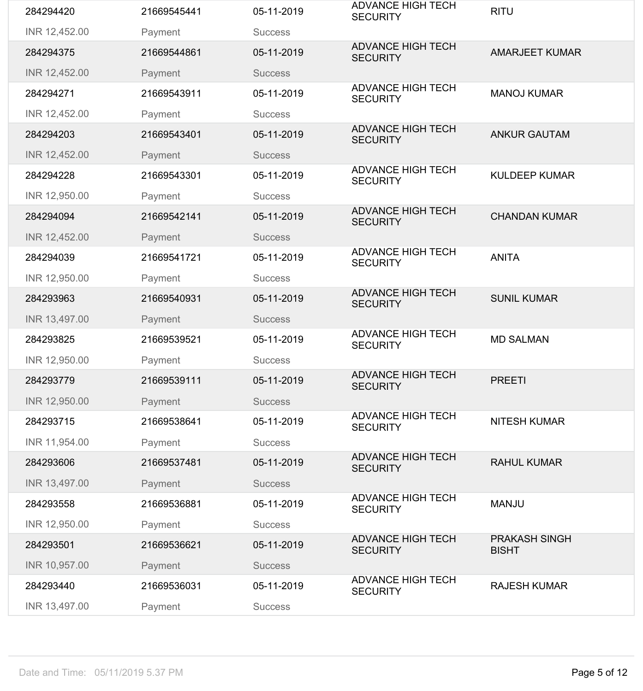| 284294420     | 21669545441 | 05-11-2019     | <b>ADVANCE HIGH TECH</b><br><b>SECURITY</b> | <b>RITU</b>                          |
|---------------|-------------|----------------|---------------------------------------------|--------------------------------------|
| INR 12,452.00 | Payment     | <b>Success</b> |                                             |                                      |
| 284294375     | 21669544861 | 05-11-2019     | <b>ADVANCE HIGH TECH</b><br><b>SECURITY</b> | <b>AMARJEET KUMAR</b>                |
| INR 12,452.00 | Payment     | <b>Success</b> |                                             |                                      |
| 284294271     | 21669543911 | 05-11-2019     | <b>ADVANCE HIGH TECH</b><br><b>SECURITY</b> | <b>MANOJ KUMAR</b>                   |
| INR 12,452.00 | Payment     | <b>Success</b> |                                             |                                      |
| 284294203     | 21669543401 | 05-11-2019     | <b>ADVANCE HIGH TECH</b><br><b>SECURITY</b> | <b>ANKUR GAUTAM</b>                  |
| INR 12,452.00 | Payment     | <b>Success</b> |                                             |                                      |
| 284294228     | 21669543301 | 05-11-2019     | <b>ADVANCE HIGH TECH</b><br><b>SECURITY</b> | <b>KULDEEP KUMAR</b>                 |
| INR 12,950.00 | Payment     | <b>Success</b> |                                             |                                      |
| 284294094     | 21669542141 | 05-11-2019     | <b>ADVANCE HIGH TECH</b><br><b>SECURITY</b> | <b>CHANDAN KUMAR</b>                 |
| INR 12,452.00 | Payment     | <b>Success</b> |                                             |                                      |
| 284294039     | 21669541721 | 05-11-2019     | <b>ADVANCE HIGH TECH</b><br><b>SECURITY</b> | <b>ANITA</b>                         |
| INR 12,950.00 | Payment     | <b>Success</b> |                                             |                                      |
| 284293963     | 21669540931 | 05-11-2019     | <b>ADVANCE HIGH TECH</b><br><b>SECURITY</b> | <b>SUNIL KUMAR</b>                   |
| INR 13,497.00 | Payment     | <b>Success</b> |                                             |                                      |
| 284293825     | 21669539521 | 05-11-2019     | <b>ADVANCE HIGH TECH</b><br><b>SECURITY</b> | <b>MD SALMAN</b>                     |
| INR 12,950.00 | Payment     | <b>Success</b> |                                             |                                      |
| 284293779     | 21669539111 | 05-11-2019     | <b>ADVANCE HIGH TECH</b><br><b>SECURITY</b> | <b>PREETI</b>                        |
| INR 12,950.00 | Payment     | <b>Success</b> |                                             |                                      |
| 284293715     | 21669538641 | 05-11-2019     | <b>ADVANCE HIGH TECH</b><br><b>SECURITY</b> | <b>NITESH KUMAR</b>                  |
| INR 11,954.00 | Payment     | <b>Success</b> |                                             |                                      |
| 284293606     | 21669537481 | 05-11-2019     | <b>ADVANCE HIGH TECH</b><br><b>SECURITY</b> | <b>RAHUL KUMAR</b>                   |
| INR 13,497.00 |             |                |                                             |                                      |
|               | Payment     | <b>Success</b> |                                             |                                      |
| 284293558     | 21669536881 | 05-11-2019     | <b>ADVANCE HIGH TECH</b><br><b>SECURITY</b> | <b>MANJU</b>                         |
| INR 12,950.00 | Payment     | <b>Success</b> |                                             |                                      |
| 284293501     | 21669536621 | 05-11-2019     | <b>ADVANCE HIGH TECH</b><br><b>SECURITY</b> | <b>PRAKASH SINGH</b><br><b>BISHT</b> |
| INR 10,957.00 | Payment     | <b>Success</b> |                                             |                                      |
| 284293440     | 21669536031 | 05-11-2019     | <b>ADVANCE HIGH TECH</b><br><b>SECURITY</b> | <b>RAJESH KUMAR</b>                  |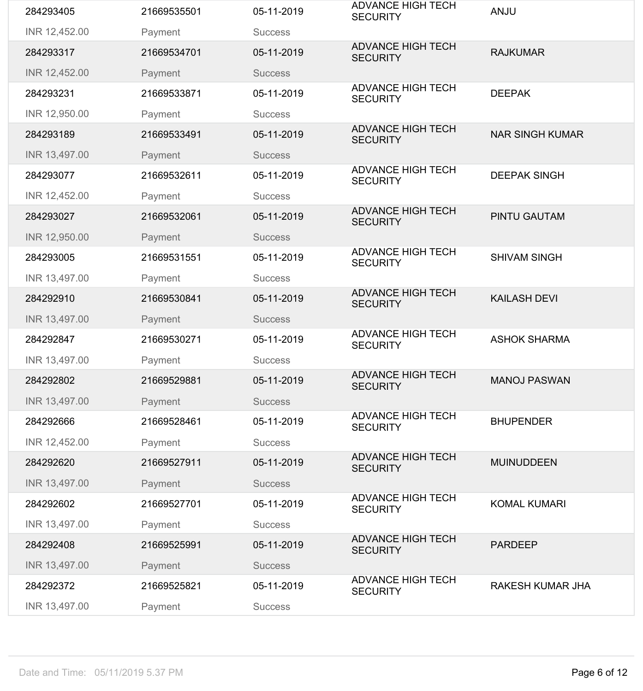| 284293405     | 21669535501 | 05-11-2019     | <b>ADVANCE HIGH TECH</b><br><b>SECURITY</b> | <b>ANJU</b>             |
|---------------|-------------|----------------|---------------------------------------------|-------------------------|
| INR 12,452.00 | Payment     | <b>Success</b> |                                             |                         |
| 284293317     | 21669534701 | 05-11-2019     | <b>ADVANCE HIGH TECH</b><br><b>SECURITY</b> | <b>RAJKUMAR</b>         |
| INR 12,452.00 | Payment     | <b>Success</b> |                                             |                         |
| 284293231     | 21669533871 | 05-11-2019     | <b>ADVANCE HIGH TECH</b><br><b>SECURITY</b> | <b>DEEPAK</b>           |
| INR 12,950.00 | Payment     | <b>Success</b> |                                             |                         |
| 284293189     | 21669533491 | 05-11-2019     | <b>ADVANCE HIGH TECH</b><br><b>SECURITY</b> | <b>NAR SINGH KUMAR</b>  |
| INR 13,497.00 | Payment     | <b>Success</b> |                                             |                         |
| 284293077     | 21669532611 | 05-11-2019     | <b>ADVANCE HIGH TECH</b><br><b>SECURITY</b> | <b>DEEPAK SINGH</b>     |
| INR 12,452.00 | Payment     | <b>Success</b> |                                             |                         |
| 284293027     | 21669532061 | 05-11-2019     | <b>ADVANCE HIGH TECH</b><br><b>SECURITY</b> | <b>PINTU GAUTAM</b>     |
| INR 12,950.00 | Payment     | <b>Success</b> |                                             |                         |
| 284293005     | 21669531551 | 05-11-2019     | <b>ADVANCE HIGH TECH</b><br><b>SECURITY</b> | <b>SHIVAM SINGH</b>     |
| INR 13,497.00 | Payment     | <b>Success</b> |                                             |                         |
| 284292910     | 21669530841 | 05-11-2019     | <b>ADVANCE HIGH TECH</b><br><b>SECURITY</b> | <b>KAILASH DEVI</b>     |
| INR 13,497.00 | Payment     | <b>Success</b> |                                             |                         |
| 284292847     | 21669530271 | 05-11-2019     | <b>ADVANCE HIGH TECH</b><br><b>SECURITY</b> | <b>ASHOK SHARMA</b>     |
| INR 13,497.00 | Payment     | <b>Success</b> |                                             |                         |
| 284292802     | 21669529881 | 05-11-2019     | <b>ADVANCE HIGH TECH</b><br><b>SECURITY</b> | <b>MANOJ PASWAN</b>     |
| INR 13,497.00 | Payment     | <b>Success</b> |                                             |                         |
| 284292666     | 21669528461 | 05-11-2019     | <b>ADVANCE HIGH TECH</b><br><b>SECURITY</b> | <b>BHUPENDER</b>        |
| INR 12,452.00 | Payment     | <b>Success</b> |                                             |                         |
| 284292620     | 21669527911 | 05-11-2019     | <b>ADVANCE HIGH TECH</b><br><b>SECURITY</b> | <b>MUINUDDEEN</b>       |
| INR 13,497.00 | Payment     | <b>Success</b> |                                             |                         |
| 284292602     | 21669527701 | 05-11-2019     | <b>ADVANCE HIGH TECH</b><br><b>SECURITY</b> | <b>KOMAL KUMARI</b>     |
| INR 13,497.00 | Payment     | <b>Success</b> |                                             |                         |
| 284292408     | 21669525991 | 05-11-2019     | <b>ADVANCE HIGH TECH</b><br><b>SECURITY</b> | <b>PARDEEP</b>          |
| INR 13,497.00 | Payment     | <b>Success</b> |                                             |                         |
| 284292372     | 21669525821 | 05-11-2019     | <b>ADVANCE HIGH TECH</b><br><b>SECURITY</b> | <b>RAKESH KUMAR JHA</b> |
| INR 13,497.00 | Payment     | <b>Success</b> |                                             |                         |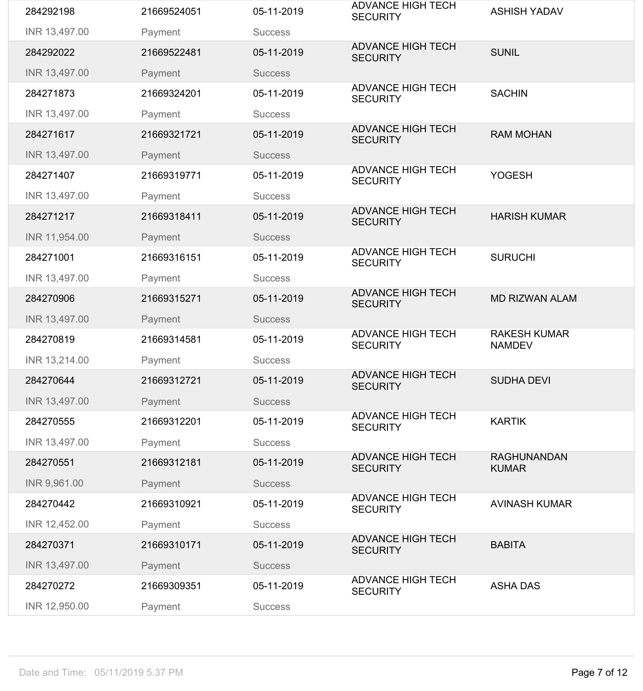| 284292198     | 21669524051 | 05-11-2019     | <b>ADVANCE HIGH TECH</b><br><b>SECURITY</b> | <b>ASHISH YADAV</b>                  |
|---------------|-------------|----------------|---------------------------------------------|--------------------------------------|
| INR 13,497.00 | Payment     | <b>Success</b> |                                             |                                      |
| 284292022     | 21669522481 | 05-11-2019     | <b>ADVANCE HIGH TECH</b><br><b>SECURITY</b> | <b>SUNIL</b>                         |
| INR 13,497.00 | Payment     | <b>Success</b> |                                             |                                      |
| 284271873     | 21669324201 | 05-11-2019     | <b>ADVANCE HIGH TECH</b><br><b>SECURITY</b> | <b>SACHIN</b>                        |
| INR 13,497.00 | Payment     | <b>Success</b> |                                             |                                      |
| 284271617     | 21669321721 | 05-11-2019     | <b>ADVANCE HIGH TECH</b><br><b>SECURITY</b> | <b>RAM MOHAN</b>                     |
| INR 13,497.00 | Payment     | <b>Success</b> |                                             |                                      |
| 284271407     | 21669319771 | 05-11-2019     | <b>ADVANCE HIGH TECH</b><br><b>SECURITY</b> | <b>YOGESH</b>                        |
| INR 13,497.00 | Payment     | <b>Success</b> |                                             |                                      |
| 284271217     | 21669318411 | 05-11-2019     | <b>ADVANCE HIGH TECH</b><br><b>SECURITY</b> | <b>HARISH KUMAR</b>                  |
| INR 11,954.00 | Payment     | <b>Success</b> |                                             |                                      |
| 284271001     | 21669316151 | 05-11-2019     | <b>ADVANCE HIGH TECH</b><br><b>SECURITY</b> | <b>SURUCHI</b>                       |
| INR 13,497.00 | Payment     | <b>Success</b> |                                             |                                      |
| 284270906     | 21669315271 | 05-11-2019     | <b>ADVANCE HIGH TECH</b><br><b>SECURITY</b> | <b>MD RIZWAN ALAM</b>                |
| INR 13,497.00 | Payment     | <b>Success</b> |                                             |                                      |
| 284270819     | 21669314581 | 05-11-2019     | <b>ADVANCE HIGH TECH</b><br><b>SECURITY</b> | <b>RAKESH KUMAR</b><br><b>NAMDEV</b> |
| INR 13,214.00 | Payment     | <b>Success</b> |                                             |                                      |
| 284270644     | 21669312721 | 05-11-2019     | <b>ADVANCE HIGH TECH</b><br><b>SECURITY</b> | <b>SUDHA DEVI</b>                    |
| INR 13,497.00 | Payment     | <b>Success</b> |                                             |                                      |
| 284270555     | 21669312201 | 05-11-2019     | <b>ADVANCE HIGH TECH</b><br><b>SECURITY</b> | <b>KARTIK</b>                        |
| INR 13,497.00 | Payment     | <b>Success</b> |                                             |                                      |
| 284270551     | 21669312181 | 05-11-2019     | <b>ADVANCE HIGH TECH</b><br><b>SECURITY</b> | <b>RAGHUNANDAN</b><br><b>KUMAR</b>   |
| INR 9,961.00  | Payment     | <b>Success</b> |                                             |                                      |
| 284270442     | 21669310921 | 05-11-2019     | <b>ADVANCE HIGH TECH</b><br><b>SECURITY</b> | <b>AVINASH KUMAR</b>                 |
| INR 12,452.00 | Payment     | <b>Success</b> |                                             |                                      |
| 284270371     | 21669310171 | 05-11-2019     | <b>ADVANCE HIGH TECH</b><br><b>SECURITY</b> | <b>BABITA</b>                        |
| INR 13,497.00 | Payment     | <b>Success</b> |                                             |                                      |
| 284270272     | 21669309351 | 05-11-2019     | <b>ADVANCE HIGH TECH</b><br><b>SECURITY</b> | <b>ASHA DAS</b>                      |
| INR 12,950.00 | Payment     | <b>Success</b> |                                             |                                      |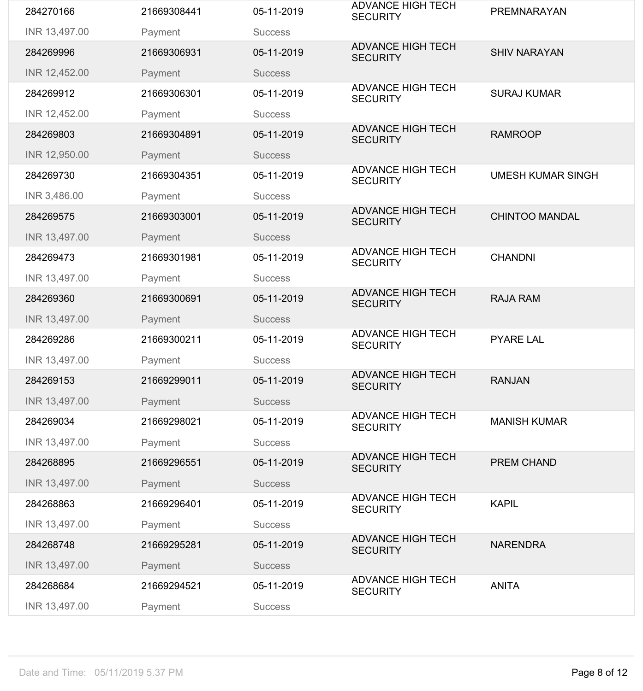| 284270166     | 21669308441 | 05-11-2019     | <b>ADVANCE HIGH TECH</b><br><b>SECURITY</b> | <b>PREMNARAYAN</b>       |
|---------------|-------------|----------------|---------------------------------------------|--------------------------|
| INR 13,497.00 | Payment     | <b>Success</b> |                                             |                          |
| 284269996     | 21669306931 | 05-11-2019     | <b>ADVANCE HIGH TECH</b><br><b>SECURITY</b> | <b>SHIV NARAYAN</b>      |
| INR 12,452.00 | Payment     | <b>Success</b> |                                             |                          |
| 284269912     | 21669306301 | 05-11-2019     | <b>ADVANCE HIGH TECH</b><br><b>SECURITY</b> | <b>SURAJ KUMAR</b>       |
| INR 12,452.00 | Payment     | <b>Success</b> |                                             |                          |
| 284269803     | 21669304891 | 05-11-2019     | <b>ADVANCE HIGH TECH</b><br><b>SECURITY</b> | <b>RAMROOP</b>           |
| INR 12,950.00 | Payment     | <b>Success</b> |                                             |                          |
| 284269730     | 21669304351 | 05-11-2019     | <b>ADVANCE HIGH TECH</b><br><b>SECURITY</b> | <b>UMESH KUMAR SINGH</b> |
| INR 3,486.00  | Payment     | <b>Success</b> |                                             |                          |
| 284269575     | 21669303001 | 05-11-2019     | <b>ADVANCE HIGH TECH</b><br><b>SECURITY</b> | <b>CHINTOO MANDAL</b>    |
| INR 13,497.00 | Payment     | <b>Success</b> |                                             |                          |
| 284269473     | 21669301981 | 05-11-2019     | <b>ADVANCE HIGH TECH</b><br><b>SECURITY</b> | <b>CHANDNI</b>           |
| INR 13,497.00 | Payment     | <b>Success</b> |                                             |                          |
| 284269360     | 21669300691 | 05-11-2019     | <b>ADVANCE HIGH TECH</b><br><b>SECURITY</b> | <b>RAJA RAM</b>          |
| INR 13,497.00 | Payment     | <b>Success</b> |                                             |                          |
| 284269286     | 21669300211 | 05-11-2019     | <b>ADVANCE HIGH TECH</b><br><b>SECURITY</b> | <b>PYARE LAL</b>         |
| INR 13,497.00 | Payment     | <b>Success</b> |                                             |                          |
| 284269153     | 21669299011 | 05-11-2019     | <b>ADVANCE HIGH TECH</b><br><b>SECURITY</b> | <b>RANJAN</b>            |
| INR 13,497.00 | Payment     | <b>Success</b> |                                             |                          |
| 284269034     | 21669298021 | 05-11-2019     | <b>ADVANCE HIGH TECH</b><br><b>SECURITY</b> | <b>MANISH KUMAR</b>      |
| INR 13,497.00 | Payment     | <b>Success</b> |                                             |                          |
| 284268895     | 21669296551 | 05-11-2019     | <b>ADVANCE HIGH TECH</b><br><b>SECURITY</b> | <b>PREM CHAND</b>        |
| INR 13,497.00 | Payment     | <b>Success</b> |                                             |                          |
| 284268863     | 21669296401 | 05-11-2019     | <b>ADVANCE HIGH TECH</b><br><b>SECURITY</b> | <b>KAPIL</b>             |
| INR 13,497.00 | Payment     | <b>Success</b> |                                             |                          |
| 284268748     | 21669295281 | 05-11-2019     | <b>ADVANCE HIGH TECH</b><br><b>SECURITY</b> | <b>NARENDRA</b>          |
| INR 13,497.00 | Payment     | <b>Success</b> |                                             |                          |
|               |             |                |                                             |                          |
| 284268684     | 21669294521 | 05-11-2019     | <b>ADVANCE HIGH TECH</b><br><b>SECURITY</b> | <b>ANITA</b>             |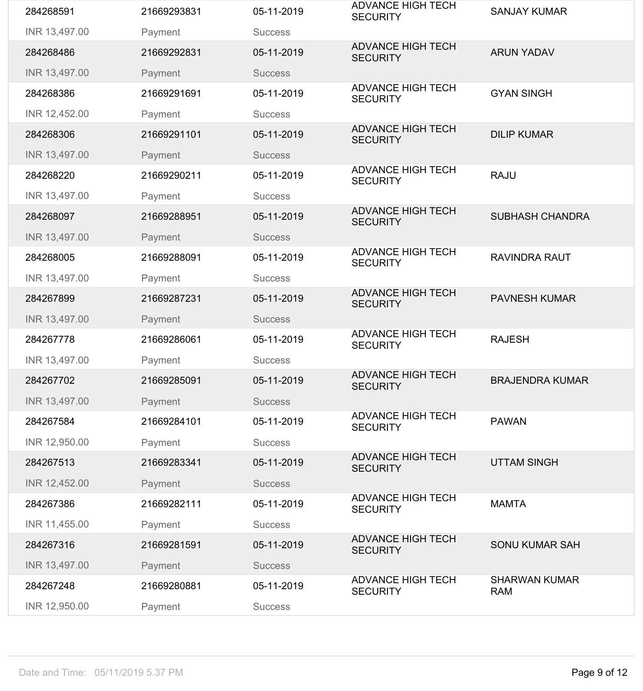| 284268591     | 21669293831 | 05-11-2019     | <b>ADVANCE HIGH TECH</b><br><b>SECURITY</b> | <b>SANJAY KUMAR</b>                |
|---------------|-------------|----------------|---------------------------------------------|------------------------------------|
| INR 13,497.00 | Payment     | <b>Success</b> |                                             |                                    |
| 284268486     | 21669292831 | 05-11-2019     | <b>ADVANCE HIGH TECH</b><br><b>SECURITY</b> | <b>ARUN YADAV</b>                  |
| INR 13,497.00 | Payment     | <b>Success</b> |                                             |                                    |
| 284268386     | 21669291691 | 05-11-2019     | <b>ADVANCE HIGH TECH</b><br><b>SECURITY</b> | <b>GYAN SINGH</b>                  |
| INR 12,452.00 | Payment     | <b>Success</b> |                                             |                                    |
| 284268306     | 21669291101 | 05-11-2019     | <b>ADVANCE HIGH TECH</b><br><b>SECURITY</b> | <b>DILIP KUMAR</b>                 |
| INR 13,497.00 | Payment     | <b>Success</b> |                                             |                                    |
| 284268220     | 21669290211 | 05-11-2019     | <b>ADVANCE HIGH TECH</b><br><b>SECURITY</b> | <b>RAJU</b>                        |
| INR 13,497.00 | Payment     | <b>Success</b> |                                             |                                    |
| 284268097     | 21669288951 | 05-11-2019     | <b>ADVANCE HIGH TECH</b><br><b>SECURITY</b> | <b>SUBHASH CHANDRA</b>             |
| INR 13,497.00 | Payment     | <b>Success</b> |                                             |                                    |
| 284268005     | 21669288091 | 05-11-2019     | <b>ADVANCE HIGH TECH</b><br><b>SECURITY</b> | <b>RAVINDRA RAUT</b>               |
| INR 13,497.00 | Payment     | <b>Success</b> |                                             |                                    |
| 284267899     | 21669287231 | 05-11-2019     | <b>ADVANCE HIGH TECH</b><br><b>SECURITY</b> | <b>PAVNESH KUMAR</b>               |
| INR 13,497.00 | Payment     | <b>Success</b> |                                             |                                    |
| 284267778     | 21669286061 | 05-11-2019     | <b>ADVANCE HIGH TECH</b><br><b>SECURITY</b> | <b>RAJESH</b>                      |
| INR 13,497.00 | Payment     | <b>Success</b> |                                             |                                    |
| 284267702     | 21669285091 | 05-11-2019     | <b>ADVANCE HIGH TECH</b><br><b>SECURITY</b> | <b>BRAJENDRA KUMAR</b>             |
| INR 13,497.00 | Payment     | <b>Success</b> |                                             |                                    |
| 284267584     | 21669284101 | 05-11-2019     | <b>ADVANCE HIGH TECH</b><br><b>SECURITY</b> | <b>PAWAN</b>                       |
| INR 12,950.00 | Payment     | <b>Success</b> |                                             |                                    |
| 284267513     | 21669283341 | 05-11-2019     | <b>ADVANCE HIGH TECH</b><br><b>SECURITY</b> | <b>UTTAM SINGH</b>                 |
| INR 12,452.00 | Payment     | <b>Success</b> |                                             |                                    |
| 284267386     |             |                | <b>ADVANCE HIGH TECH</b>                    |                                    |
|               | 21669282111 | 05-11-2019     | <b>SECURITY</b>                             | <b>MAMTA</b>                       |
| INR 11,455.00 | Payment     | <b>Success</b> |                                             |                                    |
| 284267316     | 21669281591 | 05-11-2019     | <b>ADVANCE HIGH TECH</b><br><b>SECURITY</b> | <b>SONU KUMAR SAH</b>              |
| INR 13,497.00 | Payment     | <b>Success</b> |                                             |                                    |
| 284267248     | 21669280881 | 05-11-2019     | <b>ADVANCE HIGH TECH</b><br><b>SECURITY</b> | <b>SHARWAN KUMAR</b><br><b>RAM</b> |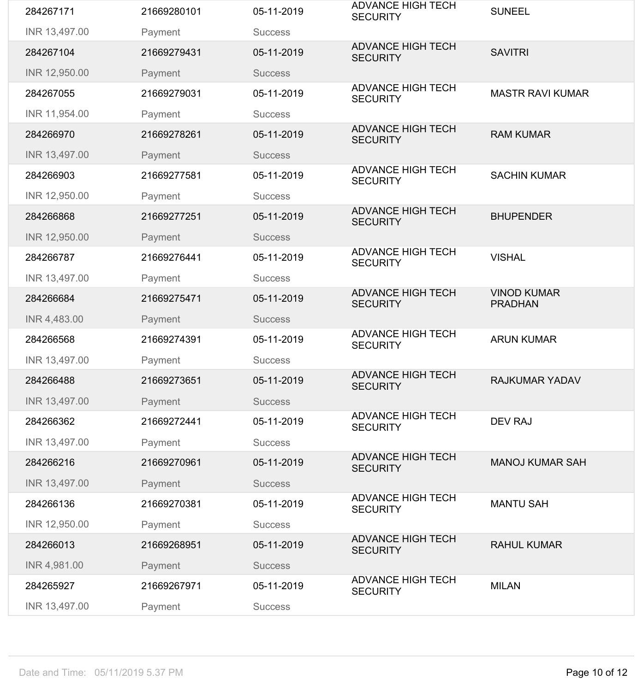| 284267171     | 21669280101 | 05-11-2019     | <b>ADVANCE HIGH TECH</b><br><b>SECURITY</b> | <b>SUNEEL</b>                        |
|---------------|-------------|----------------|---------------------------------------------|--------------------------------------|
| INR 13,497.00 | Payment     | <b>Success</b> |                                             |                                      |
| 284267104     | 21669279431 | 05-11-2019     | <b>ADVANCE HIGH TECH</b><br><b>SECURITY</b> | <b>SAVITRI</b>                       |
| INR 12,950.00 | Payment     | <b>Success</b> |                                             |                                      |
| 284267055     | 21669279031 | 05-11-2019     | <b>ADVANCE HIGH TECH</b><br><b>SECURITY</b> | <b>MASTR RAVI KUMAR</b>              |
| INR 11,954.00 | Payment     | <b>Success</b> |                                             |                                      |
| 284266970     | 21669278261 | 05-11-2019     | <b>ADVANCE HIGH TECH</b><br><b>SECURITY</b> | <b>RAM KUMAR</b>                     |
| INR 13,497.00 | Payment     | <b>Success</b> |                                             |                                      |
| 284266903     | 21669277581 | 05-11-2019     | <b>ADVANCE HIGH TECH</b><br><b>SECURITY</b> | <b>SACHIN KUMAR</b>                  |
| INR 12,950.00 | Payment     | <b>Success</b> |                                             |                                      |
| 284266868     | 21669277251 | 05-11-2019     | <b>ADVANCE HIGH TECH</b><br><b>SECURITY</b> | <b>BHUPENDER</b>                     |
| INR 12,950.00 | Payment     | <b>Success</b> |                                             |                                      |
| 284266787     | 21669276441 | 05-11-2019     | <b>ADVANCE HIGH TECH</b><br><b>SECURITY</b> | <b>VISHAL</b>                        |
| INR 13,497.00 | Payment     | <b>Success</b> |                                             |                                      |
| 284266684     | 21669275471 | 05-11-2019     | <b>ADVANCE HIGH TECH</b><br><b>SECURITY</b> | <b>VINOD KUMAR</b><br><b>PRADHAN</b> |
| INR 4,483.00  | Payment     | <b>Success</b> |                                             |                                      |
| 284266568     | 21669274391 | 05-11-2019     | <b>ADVANCE HIGH TECH</b><br><b>SECURITY</b> | <b>ARUN KUMAR</b>                    |
| INR 13,497.00 | Payment     | <b>Success</b> |                                             |                                      |
| 284266488     | 21669273651 | 05-11-2019     | <b>ADVANCE HIGH TECH</b><br><b>SECURITY</b> | <b>RAJKUMAR YADAV</b>                |
| INR 13,497.00 | Payment     | <b>Success</b> |                                             |                                      |
| 284266362     | 21669272441 | 05-11-2019     | <b>ADVANCE HIGH TECH</b><br><b>SECURITY</b> | <b>DEV RAJ</b>                       |
| INR 13,497.00 | Payment     | <b>Success</b> |                                             |                                      |
| 284266216     | 21669270961 | 05-11-2019     | <b>ADVANCE HIGH TECH</b><br><b>SECURITY</b> | <b>MANOJ KUMAR SAH</b>               |
| INR 13,497.00 | Payment     | <b>Success</b> |                                             |                                      |
| 284266136     | 21669270381 | 05-11-2019     | <b>ADVANCE HIGH TECH</b><br><b>SECURITY</b> | <b>MANTU SAH</b>                     |
| INR 12,950.00 | Payment     | <b>Success</b> |                                             |                                      |
| 284266013     | 21669268951 | 05-11-2019     | <b>ADVANCE HIGH TECH</b><br><b>SECURITY</b> | <b>RAHUL KUMAR</b>                   |
| INR 4,981.00  | Payment     | <b>Success</b> |                                             |                                      |
| 284265927     | 21669267971 | 05-11-2019     | <b>ADVANCE HIGH TECH</b><br><b>SECURITY</b> | <b>MILAN</b>                         |
| INR 13,497.00 | Payment     | <b>Success</b> |                                             |                                      |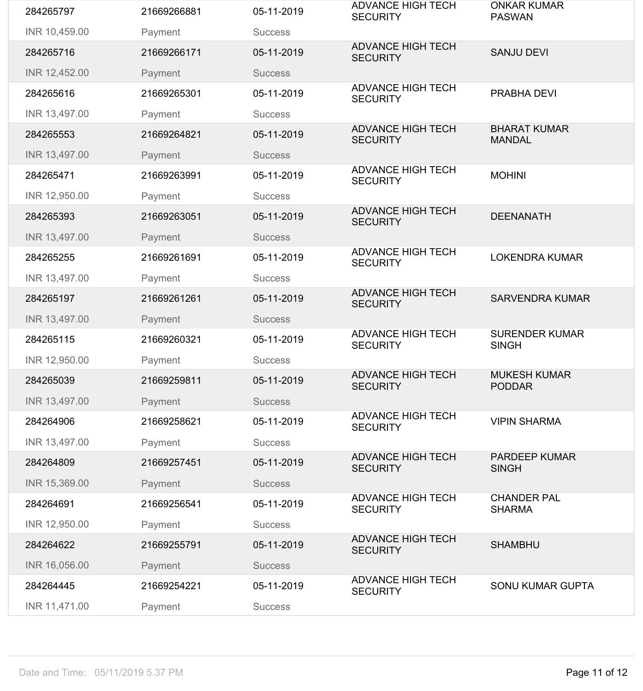| 284265797     | 21669266881 | 05-11-2019     | <b>ADVANCE HIGH TECH</b><br><b>SECURITY</b> | <b>ONKAR KUMAR</b><br><b>PASWAN</b>   |
|---------------|-------------|----------------|---------------------------------------------|---------------------------------------|
| INR 10,459.00 | Payment     | <b>Success</b> |                                             |                                       |
| 284265716     | 21669266171 | 05-11-2019     | <b>ADVANCE HIGH TECH</b><br><b>SECURITY</b> | <b>SANJU DEVI</b>                     |
| INR 12,452.00 | Payment     | <b>Success</b> |                                             |                                       |
| 284265616     | 21669265301 | 05-11-2019     | <b>ADVANCE HIGH TECH</b><br><b>SECURITY</b> | PRABHA DEVI                           |
| INR 13,497.00 | Payment     | <b>Success</b> |                                             |                                       |
| 284265553     | 21669264821 | 05-11-2019     | <b>ADVANCE HIGH TECH</b><br><b>SECURITY</b> | <b>BHARAT KUMAR</b><br><b>MANDAL</b>  |
| INR 13,497.00 | Payment     | <b>Success</b> |                                             |                                       |
| 284265471     | 21669263991 | 05-11-2019     | <b>ADVANCE HIGH TECH</b><br><b>SECURITY</b> | <b>MOHINI</b>                         |
| INR 12,950.00 | Payment     | <b>Success</b> |                                             |                                       |
| 284265393     | 21669263051 | 05-11-2019     | <b>ADVANCE HIGH TECH</b><br><b>SECURITY</b> | <b>DEENANATH</b>                      |
| INR 13,497.00 | Payment     | <b>Success</b> |                                             |                                       |
| 284265255     | 21669261691 | 05-11-2019     | <b>ADVANCE HIGH TECH</b><br><b>SECURITY</b> | <b>LOKENDRA KUMAR</b>                 |
| INR 13,497.00 | Payment     | <b>Success</b> |                                             |                                       |
| 284265197     | 21669261261 | 05-11-2019     | <b>ADVANCE HIGH TECH</b><br><b>SECURITY</b> | <b>SARVENDRA KUMAR</b>                |
| INR 13,497.00 | Payment     | <b>Success</b> |                                             |                                       |
| 284265115     | 21669260321 | 05-11-2019     | <b>ADVANCE HIGH TECH</b><br><b>SECURITY</b> | <b>SURENDER KUMAR</b><br><b>SINGH</b> |
| INR 12,950.00 | Payment     | <b>Success</b> |                                             |                                       |
| 284265039     | 21669259811 | 05-11-2019     | <b>ADVANCE HIGH TECH</b><br><b>SECURITY</b> | <b>MUKESH KUMAR</b><br><b>PODDAR</b>  |
| INR 13,497.00 | Payment     | <b>Success</b> |                                             |                                       |
| 284264906     | 21669258621 | 05-11-2019     | <b>ADVANCE HIGH TECH</b><br><b>SECURITY</b> | <b>VIPIN SHARMA</b>                   |
| INR 13,497.00 | Payment     | <b>Success</b> |                                             |                                       |
| 284264809     | 21669257451 | 05-11-2019     | <b>ADVANCE HIGH TECH</b><br><b>SECURITY</b> | <b>PARDEEP KUMAR</b><br><b>SINGH</b>  |
| INR 15,369.00 | Payment     | <b>Success</b> |                                             |                                       |
| 284264691     | 21669256541 | 05-11-2019     | <b>ADVANCE HIGH TECH</b><br><b>SECURITY</b> | <b>CHANDER PAL</b><br><b>SHARMA</b>   |
| INR 12,950.00 | Payment     | <b>Success</b> |                                             |                                       |
| 284264622     | 21669255791 | 05-11-2019     | <b>ADVANCE HIGH TECH</b><br><b>SECURITY</b> | <b>SHAMBHU</b>                        |
| INR 16,056.00 | Payment     | <b>Success</b> |                                             |                                       |
| 284264445     | 21669254221 | 05-11-2019     | <b>ADVANCE HIGH TECH</b><br><b>SECURITY</b> | <b>SONU KUMAR GUPTA</b>               |
| INR 11,471.00 | Payment     | <b>Success</b> |                                             |                                       |